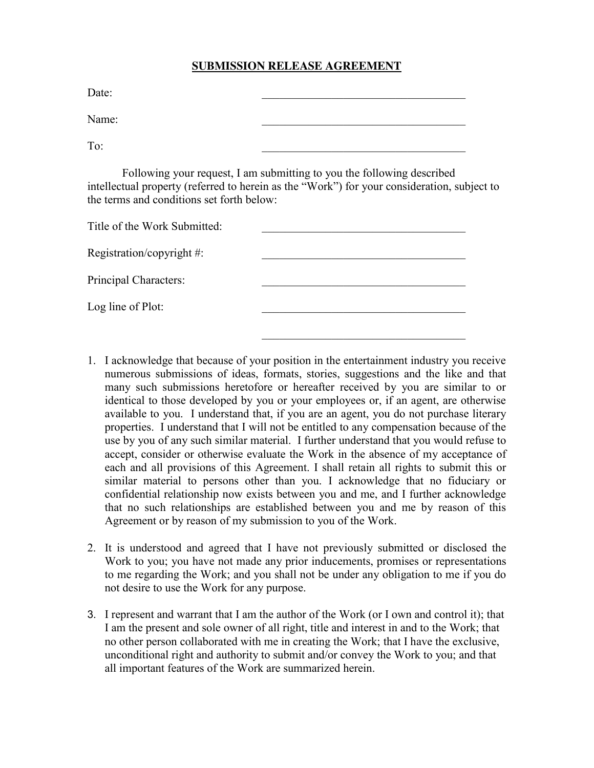## **SUBMISSION RELEASE AGREEMENT**

Date:

Name:

To:  $\overline{a}$ 

Following your request, I am submitting to you the following described intellectual property (referred to herein as the "Work") for your consideration, subject to the terms and conditions set forth below:

| Title of the Work Submitted:  |  |
|-------------------------------|--|
| Registration/copyright $\#$ : |  |
| Principal Characters:         |  |
| Log line of Plot:             |  |
|                               |  |

1. I acknowledge that because of your position in the entertainment industry you receive numerous submissions of ideas, formats, stories, suggestions and the like and that many such submissions heretofore or hereafter received by you are similar to or identical to those developed by you or your employees or, if an agent, are otherwise available to you. I understand that, if you are an agent, you do not purchase literary properties. I understand that I will not be entitled to any compensation because of the use by you of any such similar material. I further understand that you would refuse to accept, consider or otherwise evaluate the Work in the absence of my acceptance of each and all provisions of this Agreement. I shall retain all rights to submit this or similar material to persons other than you. I acknowledge that no fiduciary or confidential relationship now exists between you and me, and I further acknowledge that no such relationships are established between you and me by reason of this Agreement or by reason of my submission to you of the Work.

 $\mathcal{L}_\text{max}$ 

- 2. It is understood and agreed that I have not previously submitted or disclosed the Work to you; you have not made any prior inducements, promises or representations to me regarding the Work; and you shall not be under any obligation to me if you do not desire to use the Work for any purpose.
- 3. I represent and warrant that I am the author of the Work (or I own and control it); that I am the present and sole owner of all right, title and interest in and to the Work; that no other person collaborated with me in creating the Work; that I have the exclusive, unconditional right and authority to submit and/or convey the Work to you; and that all important features of the Work are summarized herein.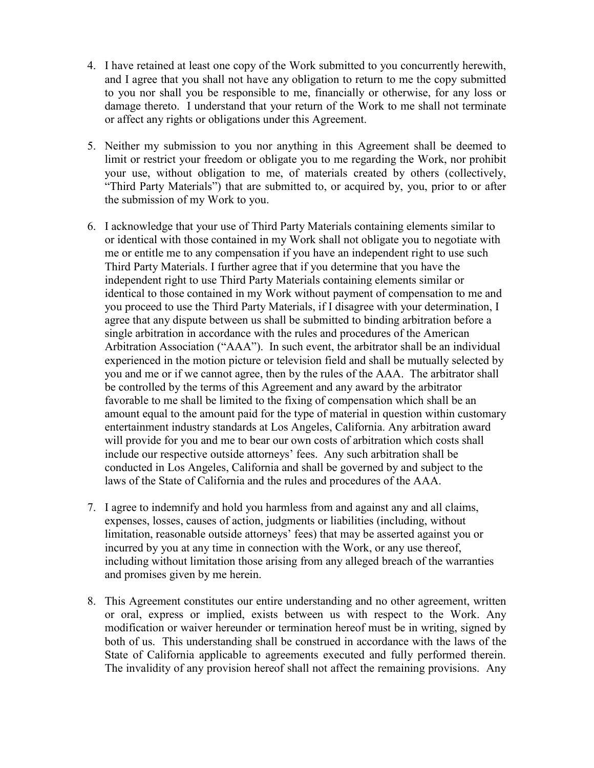- 4. I have retained at least one copy of the Work submitted to you concurrently herewith, and I agree that you shall not have any obligation to return to me the copy submitted to you nor shall you be responsible to me, financially or otherwise, for any loss or damage thereto. I understand that your return of the Work to me shall not terminate or affect any rights or obligations under this Agreement.
- 5. Neither my submission to you nor anything in this Agreement shall be deemed to limit or restrict your freedom or obligate you to me regarding the Work, nor prohibit your use, without obligation to me, of materials created by others (collectively, "Third Party Materials") that are submitted to, or acquired by, you, prior to or after the submission of my Work to you.
- 6. I acknowledge that your use of Third Party Materials containing elements similar to or identical with those contained in my Work shall not obligate you to negotiate with me or entitle me to any compensation if you have an independent right to use such Third Party Materials. I further agree that if you determine that you have the independent right to use Third Party Materials containing elements similar or identical to those contained in my Work without payment of compensation to me and you proceed to use the Third Party Materials, if I disagree with your determination, I agree that any dispute between us shall be submitted to binding arbitration before a single arbitration in accordance with the rules and procedures of the American Arbitration Association ("AAA"). In such event, the arbitrator shall be an individual experienced in the motion picture or television field and shall be mutually selected by you and me or if we cannot agree, then by the rules of the AAA. The arbitrator shall be controlled by the terms of this Agreement and any award by the arbitrator favorable to me shall be limited to the fixing of compensation which shall be an amount equal to the amount paid for the type of material in question within customary entertainment industry standards at Los Angeles, California. Any arbitration award will provide for you and me to bear our own costs of arbitration which costs shall include our respective outside attorneys' fees. Any such arbitration shall be conducted in Los Angeles, California and shall be governed by and subject to the laws of the State of California and the rules and procedures of the AAA.
- 7. I agree to indemnify and hold you harmless from and against any and all claims, expenses, losses, causes of action, judgments or liabilities (including, without limitation, reasonable outside attorneys' fees) that may be asserted against you or incurred by you at any time in connection with the Work, or any use thereof, including without limitation those arising from any alleged breach of the warranties and promises given by me herein.
- 8. This Agreement constitutes our entire understanding and no other agreement, written or oral, express or implied, exists between us with respect to the Work. Any modification or waiver hereunder or termination hereof must be in writing, signed by both of us. This understanding shall be construed in accordance with the laws of the State of California applicable to agreements executed and fully performed therein. The invalidity of any provision hereof shall not affect the remaining provisions. Any